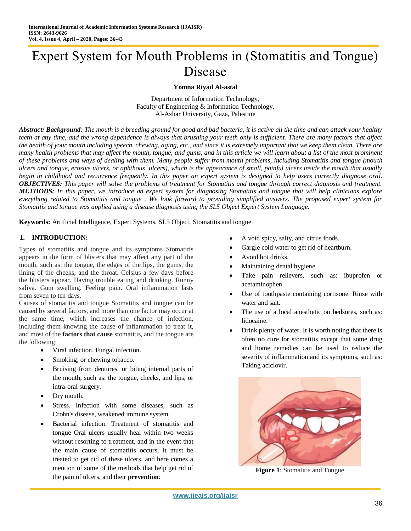# Expert System for Mouth Problems in (Stomatitis and Tongue) Disease

### **Yomna Riyad Al-astal**

Department of Information Technology, Faculty of Engineering & Information Technology, Al-Azhar University, Gaza, Palestine

*Abstract: Background: The mouth is a breeding ground for good and bad bacteria, it is active all the time and can attack your healthy teeth at any time, and the wrong dependence is always that brushing your teeth only is sufficient. There are many factors that affect*  the health of your mouth including speech, chewing, aging, etc., and since it is extremely important that we keep them clean. There are *many health problems that may affect the mouth, tongue, and gums, and in this article we will learn about a list of the most prominent of these problems and ways of dealing with them. Many people suffer from mouth problems, including Stomatitis and tongue (mouth ulcers and tongue, erosive ulcers, or aphthous ulcers), which is the appearance of small, painful ulcers inside the mouth that usually begin in childhood and recurrence frequently. In this paper an expert system is designed to help users correctly diagnose oral. OBJECTIVES: This paper will solve the problems of treatment for Stomatitis and tongue through correct diagnosis and treatment. METHODS: In this paper, we introduce an expert system for diagnosing Stomatitis and tongue that will help clinicians explore everything related to Stomatitis and tongue . We look forward to providing simplified answers. The proposed expert system for Stomatitis and tongue was applied using a disease diagnosis using the SL5 Object Expert System Language.*

**Keywords:** Artificial Intelligence, Expert Systems, SL5 Object, Stomatitis and tongue

#### **1. INTRODUCTION:**

Types of stomatitis and tongue and its symptoms Stomatitis appears in the form of blisters that may affect any part of the mouth, such as: the tongue, the edges of the lips, the gums, the lining of the cheeks, and the throat. Celsius a few days before the blisters appear. Having trouble eating and drinking. Runny saliva. Gum swelling. Feeling pain. Oral inflammation lasts from seven to ten days.

Causes of stomatitis and tongue Stomatitis and tongue can be caused by several factors, and more than one factor may occur at the same time, which increases the chance of infection, including them knowing the cause of inflammation to treat it, and most of the **factors that cause** stomatitis, and the tongue are the following:

- Viral infection. Fungal infection.
- Smoking, or chewing tobacco.
- Bruising from dentures, or biting internal parts of the mouth, such as: the tongue, cheeks, and lips, or intra-oral surgery.
- Dry mouth.
- Stress. Infection with some diseases, such as Crohn's disease, weakened immune system.
- Bacterial infection. Treatment of stomatitis and tongue Oral ulcers usually heal within two weeks without resorting to treatment, and in the event that the main cause of stomatitis occurs, it must be treated to get rid of these ulcers, and here comes a mention of some of the methods that help get rid of the pain of ulcers, and their **prevention**:
- A void spicy, salty, and citrus foods.
- Gargle cold water to get rid of heartburn.
- Avoid hot drinks.
- Maintaining dental hygiene.
- Take pain relievers, such as: ibuprofen or acetaminophen.
- Use of toothpaste containing cortisone. Rinse with water and salt.
- The use of a local anesthetic on bedsores, such as: lidocaine.
- Drink plenty of water. It is worth noting that there is often no cure for stomatitis except that some drug and home remedies can be used to reduce the severity of inflammation and its symptoms, such as: Taking aciclovir.



**Figure 1:** Stomatitis and Tongue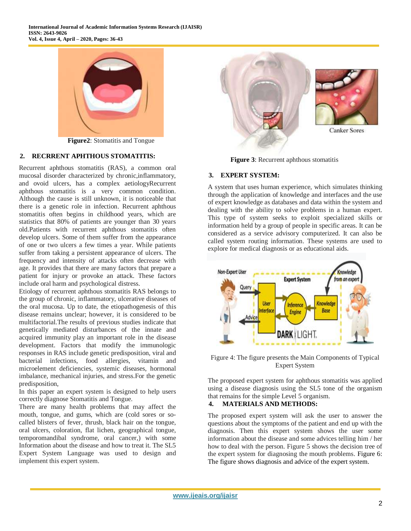

**Figure2**: Stomatitis and Tongue

## **2. RECRRENT APHTHOUS STOMATITIS:**

Recurrent aphthous stomatitis (RAS), a common oral mucosal disorder characterized by chronic,inflammatory, and ovoid ulcers, has a complex aetiologyRecurrent aphthous stomatitis is a very common condition. Although the cause is still unknown, it is noticeable that there is a genetic role in infection. Recurrent aphthous stomatitis often begins in childhood years, which are statistics that 80% of patients are younger than 30 years old.Patients with recurrent aphthous stomatitis often develop ulcers. Some of them suffer from the appearance of one or two ulcers a few times a year. While patients suffer from taking a persistent appearance of ulcers. The frequency and intensity of attacks often decrease with age. It provides that there are many factors that prepare a patient for injury or provoke an attack. These factors include oral harm and psychological distress.

Etiology of recurrent aphthous stomatitis RAS belongs to the group of chronic, inflammatory, ulcerative diseases of the oral mucosa. Up to date, the etiopathogenesis of this disease remains unclear; however, it is considered to be multifactorial.The results of previous studies indicate that genetically mediated disturbances of the innate and acquired immunity play an important role in the disease development. Factors that modify the immunologic responses in RAS include genetic predisposition, viral and bacterial infections, food allergies, vitamin and microelement deficiencies, systemic diseases, hormonal imbalance, mechanical injuries, and stress.For the genetic predisposition,

In this paper an expert system is designed to help users correctly diagnose Stomatitis and Tongue.

There are many health problems that may affect the mouth, tongue, and gums, which are (cold sores or socalled blisters of fever, thrush, black hair on the tongue, oral ulcers, coloration, flat lichen, geographical tongue, temporomandibal syndrome, oral cancer,) with some Information about the disease and how to treat it. The SL5 Expert System Language was used to design and implement this expert system.



**Figure 3:** Recurrent aphthous stomatitis

## **3. EXPERT SYSTEM:**

A system that uses human experience, which simulates thinking through the application of knowledge and interfaces and the use of expert knowledge as databases and data within the system and dealing with the ability to solve problems in a human expert. This type of system seeks to exploit specialized skills or information held by a group of people in specific areas. It can be considered as a service advisory computerized. It can also be called system routing information. These systems are used to explore for medical diagnosis or as educational aids.



Figure 4: The figure presents the Main Components of Typical Expert System

The proposed expert system for aphthous stomatitis was applied using a disease diagnosis using the SL5 tone of the organism that remains for the simple Level 5 organism.

### **4. MATERIALS AND METHODS:**

The proposed expert system will ask the user to answer the questions about the symptoms of the patient and end up with the diagnosis. Then this expert system shows the user some information about the disease and some advices telling him / her how to deal with the person. Figure 5 shows the decision tree of the expert system for diagnosing the mouth problems. Figure 6: The figure shows diagnosis and advice of the expert system.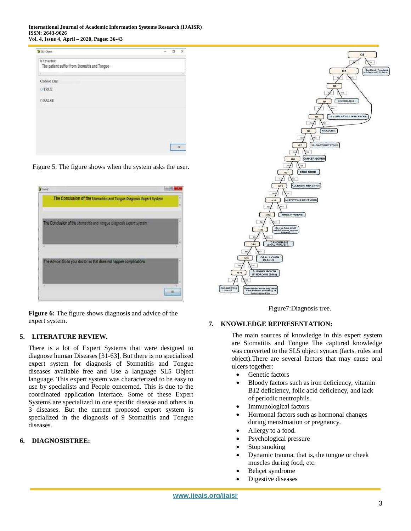**International Journal of Academic Information Systems Research (IJAISR) ISSN: 2643-9026 Vol. 4, Issue 4, April – 2020, Pages: 36-43**

| 3 95 Object                                                      | ×<br>o |
|------------------------------------------------------------------|--------|
| is it true that.<br>The patient suffer from Stomaitis and Tongue |        |
|                                                                  |        |
| Choose One                                                       |        |
| <b>DIRLE</b>                                                     |        |
| OFALSE                                                           |        |
|                                                                  |        |
|                                                                  |        |
|                                                                  |        |
|                                                                  |        |
|                                                                  |        |
|                                                                  |        |

Figure 5: The figure shows when the system asks the user.



**Figure 6:** The figure shows diagnosis and advice of the expert system.

# **5. LITERATURE REVIEW.**

There is a lot of Expert Systems that were designed to diagnose human Diseases [31-63]. But there is no specialized expert system for diagnosis of Stomatitis and Tongue diseases available free and Use a language SL5 Object language. This expert system was characterized to be easy to use by specialists and People concerned. This is due to the coordinated application interface. Some of these Expert Systems are specialized in one specific disease and others in 3 diseases. But the current proposed expert system is specialized in the diagnosis of 9 Stomatitis and Tongue diseases.

#### **6. DIAGNOSISTREE:**



Figure7:Diagnosis tree.

#### **7. KNOWLEDGE REPRESENTATION:**

The main sources of knowledge in this expert system are Stomatitis and Tongue The captured knowledge was converted to the SL5 object syntax (facts, rules and object).There are several factors that may cause oral ulcers together:

- Genetic factors
- Bloody factors such as iron deficiency, vitamin B12 deficiency, folic acid deficiency, and lack of periodic neutrophils.
- Immunological factors
- Hormonal factors such as hormonal changes during menstruation or pregnancy.
- Allergy to a food.
- Psychological pressure
- Stop smoking
- Dynamic trauma, that is, the tongue or cheek muscles during food, etc.
- Behçet syndrome
- Digestive diseases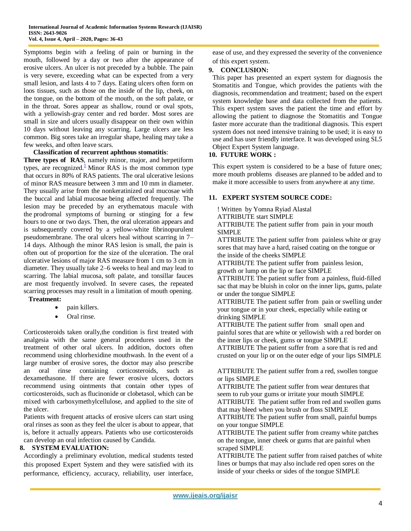Symptoms begin with a feeling of pain or burning in the mouth, followed by a day or two after the appearance of erosive ulcers. An ulcer is not preceded by a bubble. The pain is very severe, exceeding what can be expected from a very small lesion, and lasts 4 to 7 days. Eating ulcers often form on loos tissues, such as those on the inside of the lip, cheek, on the tongue, on the bottom of the mouth, on the soft palate, or in the throat. Sores appear as shallow, round or oval spots, with a yellowish-gray center and red border. Most sores are small in size and ulcers usually disappear on their own within 10 days without leaving any scarring. Large ulcers are less common. Big sores take an irregular shape, healing may take a few weeks, and often leave scars.

#### **Classification of recurrent aphthous stomatitis**:

**Three types of RAS**, namely minor, major, and herpetiform types, are recognized[.](https://www.sciencedirect.com/science/article/pii/S0929664618307435#bib1)<sup>1</sup> Minor RAS is the most common type that occurs in 80% of RAS patients. The oral ulcerative lesions of minor RAS measure between 3 mm and 10 mm in diameter. They usually arise from the nonkeratinized [oral mucosae](https://www.sciencedirect.com/topics/medicine-and-dentistry/oral-mucosa) with the buccal and labial [mucosae](https://www.sciencedirect.com/topics/medicine-and-dentistry/mucosa) being affected frequently. The lesion may be preceded by an erythematous macule with the [prodromal symptoms](https://www.sciencedirect.com/topics/medicine-and-dentistry/prodromal-symptom) of burning or stinging for a few hours to one or two days. Then, the [oral ulceration](https://www.sciencedirect.com/topics/medicine-and-dentistry/mouth-ulcer) appears and is subsequently covered by a yellow-white fibrinopurulent pseudomembrane. The oral ulcers heal without scarring in 7– 14 days. Although the minor RAS lesion is small, the pain is often out of proportion for the size of the ulceration. The oral ulcerative lesions of major RAS measure from 1 cm to 3 cm in diameter. They usually take 2–6 weeks to heal and may lead to scarring. The labial mucosa, [soft palate,](https://www.sciencedirect.com/topics/medicine-and-dentistry/soft-palate) and tonsillar fauces are most frequently involved. In severe cases, the repeated scarring processes may result in a limitation of mouth opening. **Treatment:**

- pain killers.
	- Oral rinse.

Corticosteroids taken orally,the condition is first treated with analgesia with the same general procedures used in the treatment of other oral ulcers. In addition, doctors often recommend using chlorhexidine mouthwash. In the event of a large number of erosive sores, the doctor may also prescribe an oral rinse containing corticosteroids, such as dexamethasone. If there are fewer erosive ulcers, doctors recommend using ointments that contain other types of corticosteroids, such as flucinonide or clobetasol, which can be mixed with carboxymethylcellulose, and applied to the site of the ulcer.

Patients with frequent attacks of erosive ulcers can start using oral rinses as soon as they feel the ulcer is about to appear, that is, before it actually appears. Patients who use corticosteroids can develop an oral infection caused by Candida.

#### **8. SYSTEM EVALUATION:**

Accordingly a preliminary evolution, medical students tested this proposed Expert System and they were satisfied with its performance, efficiency, accuracy, reliability, user interface, ease of use, and they expressed the severity of the convenience of this expert system.

#### **9. CONCLUSION:**

This paper has presented an expert system for diagnosis the Stomatitis and Tongue, which provides the patients with the diagnosis, recommendation and treatment; based on the expert system knowledge base and data collected from the patients. This expert system saves the patient the time and effort by allowing the patient to diagnose the Stomatitis and Tongue faster more accurate than the traditional diagnosis. This expert system does not need intensive training to be used; it is easy to use and has user friendly interface. It was developed using SL5 Object Expert System language.

#### **10. FUTURE WORK :**

This expert system is considered to be a base of future ones; more mouth problems diseases are planned to be added and to make it more accessible to users from anywhere at any time.

#### **11. EXPERT SYSTEM SOURCE CODE:**

! Written by Yomna Ryiad Alastal

ATTRIBUTE start SIMPLE

ATTRIBUTE The patient suffer from pain in your mouth SIMPLE

ATTRIBUTE The patient suffer from painless white or gray sores that may have a hard, raised coating on the tongue or the inside of the cheeks SIMPLE

ATTRIBUTE The patient suffer from painless lesion, growth or lump on the lip or face SIMPLE

ATTRIBUTE The patient suffer from a painless, fluid-filled sac that may be bluish in color on the inner lips, gums, palate or under the tongue SIMPLE

ATTRIBUTE The patient suffer from pain or swelling under your tongue or in your cheek, especially while eating or drinking SIMPLE

ATTRIBUTE The patient suffer from small open and painful sores that are white or yellowish with a red border on the inner lips or cheek, gums or tongue SIMPLE

ATTRIBUTE The patient suffer from a sore that is red and crusted on your lip or on the outer edge of your lips SIMPLE

ATTRIBUTE The patient suffer from a red, swollen tongue or lips SIMPLE

ATTRIBUTE The patient suffer from wear dentures that seem to rub your gums or irritate your mouth SIMPLE ATTRIBUTE The patient suffer from red and swollen gums that may bleed when you brush or floss SIMPLE ATTRIBUTE The patient suffer from small, painful bumps

on your tongue SIMPLE

ATTRIBUTE The patient suffer from creamy white patches on the tongue, inner cheek or gums that are painful when scraped SIMPLE

ATTRIBUTE The patient suffer from raised patches of white lines or bumps that may also include red open sores on the inside of your cheeks or sides of the tongue SIMPLE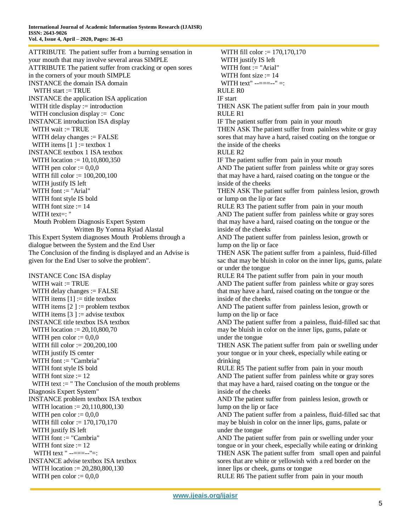ATTRIBUTE The patient suffer from a burning sensation in your mouth that may involve several areas SIMPLE ATTRIBUTE The patient suffer from cracking or open sores in the corners of your mouth SIMPLE INSTANCE the domain ISA domain WITH start  $:=$  TRUE INSTANCE the application ISA application WITH title display  $:=$  introduction WITH conclusion display := Conc INSTANCE introduction ISA display WITH wait := TRUE WITH delay changes := FALSE WITH items  $[1] :=$  textbox 1 INSTANCE textbox 1 ISA textbox WITH location := 10,10,800,350 WITH pen color  $:= 0.0,0$  WITH fill color := 100,200,100 WITH justify IS left WITH font := "Arial" WITH font style IS bold WITH font size  $:= 14$  WITH text=: " Mouth Problem Diagnosis Expert System Written By Yomna Ryiad Alastal This Expert System diagnoses Mouth Problems through a dialogue between the System and the End User The Conclusion of the finding is displayed and an Advise is given for the End User to solve the problem".

INSTANCE Conc ISA display WITH wait  $:=$  TRUE WITH delay changes := FALSE WITH items  $[1] :=$  title textbox WITH items  $[2] :=$  problem textbox WITH items  $[3] :=$  advise textbox INSTANCE title textbox ISA textbox WITH location := 20,10,800,70 WITH pen color  $:= 0.0,0$  WITH fill color := 200,200,100 WITH justify IS center WITH font := "Cambria" WITH font style IS bold WITH font size  $:= 12$ WITH text  $:=$  " The Conclusion of the mouth problems Diagnosis Expert System" INSTANCE problem textbox ISA textbox WITH location := 20,110,800,130 WITH pen color  $:= 0.0,0$  WITH fill color := 170,170,170 WITH justify IS left WITH font := "Cambria" WITH font size  $:= 12$ WITH text " --===--"=: INSTANCE advise textbox ISA textbox WITH location := 20,280,800,130 WITH pen color  $:= 0.0,0$ 

 WITH fill color := 170,170,170 WITH justify IS left WITH font  $:=$  "Arial" WITH font size  $:= 14$ WITH text"  $------"$  =: RULE R<sub>0</sub> IF start THEN ASK The patient suffer from pain in your mouth RULE R1 IF The patient suffer from pain in your mouth THEN ASK The patient suffer from painless white or gray sores that may have a hard, raised coating on the tongue or the inside of the cheeks RULE R2 IF The patient suffer from pain in your mouth AND The patient suffer from painless white or gray sores that may have a hard, raised coating on the tongue or the inside of the cheeks THEN ASK The patient suffer from painless lesion, growth or lump on the lip or face RULE R3 The patient suffer from pain in your mouth AND The patient suffer from painless white or gray sores that may have a hard, raised coating on the tongue or the inside of the cheeks AND The patient suffer from painless lesion, growth or lump on the lip or face THEN ASK The patient suffer from a painless, fluid-filled sac that may be bluish in color on the inner lips, gums, palate or under the tongue RULE R4 The patient suffer from pain in your mouth AND The patient suffer from painless white or gray sores that may have a hard, raised coating on the tongue or the inside of the cheeks AND The patient suffer from painless lesion, growth or lump on the lip or face AND The patient suffer from a painless, fluid-filled sac that may be bluish in color on the inner lips, gums, palate or under the tongue THEN ASK The patient suffer from pain or swelling under your tongue or in your cheek, especially while eating or drinking RULE R5 The patient suffer from pain in your mouth AND The patient suffer from painless white or gray sores that may have a hard, raised coating on the tongue or the inside of the cheeks AND The patient suffer from painless lesion, growth or lump on the lip or face AND The patient suffer from a painless, fluid-filled sac that may be bluish in color on the inner lips, gums, palate or under the tongue AND The patient suffer from pain or swelling under your tongue or in your cheek, especially while eating or drinking THEN ASK The patient suffer from small open and painful sores that are white or yellowish with a red border on the inner lips or cheek, gums or tongue RULE R6 The patient suffer from pain in your mouth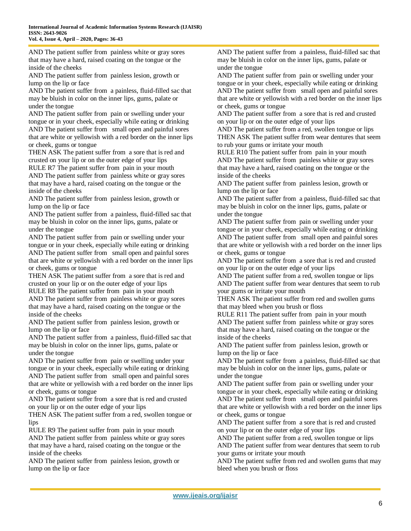AND The patient suffer from painless white or gray sores that may have a hard, raised coating on the tongue or the inside of the cheeks

AND The patient suffer from painless lesion, growth or lump on the lip or face

AND The patient suffer from a painless, fluid-filled sac that may be bluish in color on the inner lips, gums, palate or under the tongue

AND The patient suffer from pain or swelling under your tongue or in your cheek, especially while eating or drinking AND The patient suffer from small open and painful sores that are white or yellowish with a red border on the inner lips or cheek, gums or tongue

THEN ASK The patient suffer from a sore that is red and crusted on your lip or on the outer edge of your lips

RULE R7 The patient suffer from pain in your mouth AND The patient suffer from painless white or gray sores that may have a hard, raised coating on the tongue or the inside of the cheeks

AND The patient suffer from painless lesion, growth or lump on the lip or face

AND The patient suffer from a painless, fluid-filled sac that may be bluish in color on the inner lips, gums, palate or under the tongue

AND The patient suffer from pain or swelling under your tongue or in your cheek, especially while eating or drinking AND The patient suffer from small open and painful sores that are white or yellowish with a red border on the inner lips or cheek, gums or tongue

THEN ASK The patient suffer from a sore that is red and crusted on your lip or on the outer edge of your lips

RULE R8 The patient suffer from pain in your mouth AND The patient suffer from painless white or gray sores that may have a hard, raised coating on the tongue or the inside of the cheeks

AND The patient suffer from painless lesion, growth or lump on the lip or face

AND The patient suffer from a painless, fluid-filled sac that may be bluish in color on the inner lips, gums, palate or under the tongue

AND The patient suffer from pain or swelling under your tongue or in your cheek, especially while eating or drinking AND The patient suffer from small open and painful sores that are white or yellowish with a red border on the inner lips or cheek, gums or tongue

AND The patient suffer from a sore that is red and crusted on your lip or on the outer edge of your lips

THEN ASK The patient suffer from a red, swollen tongue or lips

RULE R9 The patient suffer from pain in your mouth AND The patient suffer from painless white or gray sores that may have a hard, raised coating on the tongue or the inside of the cheeks

AND The patient suffer from painless lesion, growth or lump on the lip or face

AND The patient suffer from a painless, fluid-filled sac that may be bluish in color on the inner lips, gums, palate or under the tongue

AND The patient suffer from pain or swelling under your tongue or in your cheek, especially while eating or drinking AND The patient suffer from small open and painful sores that are white or yellowish with a red border on the inner lips or cheek, gums or tongue

AND The patient suffer from a sore that is red and crusted on your lip or on the outer edge of your lips

AND The patient suffer from a red, swollen tongue or lips THEN ASK The patient suffer from wear dentures that seem to rub your gums or irritate your mouth

RULE R10 The patient suffer from pain in your mouth AND The patient suffer from painless white or gray sores that may have a hard, raised coating on the tongue or the inside of the cheeks

AND The patient suffer from painless lesion, growth or lump on the lip or face

AND The patient suffer from a painless, fluid-filled sac that may be bluish in color on the inner lips, gums, palate or under the tongue

AND The patient suffer from pain or swelling under your tongue or in your cheek, especially while eating or drinking AND The patient suffer from small open and painful sores that are white or yellowish with a red border on the inner lips or cheek, gums or tongue

AND The patient suffer from a sore that is red and crusted on your lip or on the outer edge of your lips

AND The patient suffer from a red, swollen tongue or lips AND The patient suffer from wear dentures that seem to rub your gums or irritate your mouth

THEN ASK The patient suffer from red and swollen gums that may bleed when you brush or floss

RULE R11 The patient suffer from pain in your mouth AND The patient suffer from painless white or gray sores that may have a hard, raised coating on the tongue or the inside of the cheeks

AND The patient suffer from painless lesion, growth or lump on the lip or face

AND The patient suffer from a painless, fluid-filled sac that may be bluish in color on the inner lips, gums, palate or under the tongue

AND The patient suffer from pain or swelling under your tongue or in your cheek, especially while eating or drinking AND The patient suffer from small open and painful sores that are white or yellowish with a red border on the inner lips or cheek, gums or tongue

AND The patient suffer from a sore that is red and crusted on your lip or on the outer edge of your lips

AND The patient suffer from a red, swollen tongue or lips AND The patient suffer from wear dentures that seem to rub your gums or irritate your mouth

AND The patient suffer from red and swollen gums that may bleed when you brush or floss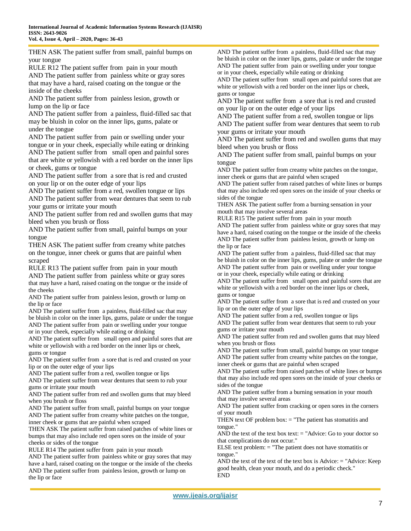THEN ASK The patient suffer from small, painful bumps on your tongue

RULE R12 The patient suffer from pain in your mouth AND The patient suffer from painless white or gray sores that may have a hard, raised coating on the tongue or the inside of the cheeks

AND The patient suffer from painless lesion, growth or lump on the lip or face

AND The patient suffer from a painless, fluid-filled sac that may be bluish in color on the inner lips, gums, palate or under the tongue

AND The patient suffer from pain or swelling under your tongue or in your cheek, especially while eating or drinking AND The patient suffer from small open and painful sores that are white or yellowish with a red border on the inner lips or cheek, gums or tongue

AND The patient suffer from a sore that is red and crusted on your lip or on the outer edge of your lips

AND The patient suffer from a red, swollen tongue or lips AND The patient suffer from wear dentures that seem to rub your gums or irritate your mouth

AND The patient suffer from red and swollen gums that may bleed when you brush or floss

AND The patient suffer from small, painful bumps on your tongue

THEN ASK The patient suffer from creamy white patches on the tongue, inner cheek or gums that are painful when scraped

RULE R13 The patient suffer from pain in your mouth AND The patient suffer from painless white or gray sores that may have a hard, raised coating on the tongue or the inside of the cheeks

AND The patient suffer from painless lesion, growth or lump on the lip or face

AND The patient suffer from a painless, fluid-filled sac that may be bluish in color on the inner lips, gums, palate or under the tongue AND The patient suffer from pain or swelling under your tongue or in your cheek, especially while eating or drinking

AND The patient suffer from small open and painful sores that are white or yellowish with a red border on the inner lips or cheek, gums or tongue

AND The patient suffer from a sore that is red and crusted on your lip or on the outer edge of your lips

AND The patient suffer from a red, swollen tongue or lips

AND The patient suffer from wear dentures that seem to rub your gums or irritate your mouth

AND The patient suffer from red and swollen gums that may bleed when you brush or floss

AND The patient suffer from small, painful bumps on your tongue AND The patient suffer from creamy white patches on the tongue, inner cheek or gums that are painful when scraped

THEN ASK The patient suffer from raised patches of white lines or bumps that may also include red open sores on the inside of your cheeks or sides of the tongue

RULE R14 The patient suffer from pain in your mouth

AND The patient suffer from painless white or gray sores that may have a hard, raised coating on the tongue or the inside of the cheeks AND The patient suffer from painless lesion, growth or lump on the lip or face

AND The patient suffer from a painless, fluid-filled sac that may be bluish in color on the inner lips, gums, palate or under the tongue AND The patient suffer from pain or swelling under your tongue or in your cheek, especially while eating or drinking

AND The patient suffer from small open and painful sores that are white or yellowish with a red border on the inner lips or cheek, gums or tongue

AND The patient suffer from a sore that is red and crusted on your lip or on the outer edge of your lips

AND The patient suffer from a red, swollen tongue or lips AND The patient suffer from wear dentures that seem to rub your gums or irritate your mouth

AND The patient suffer from red and swollen gums that may bleed when you brush or floss

AND The patient suffer from small, painful bumps on your tongue

AND The patient suffer from creamy white patches on the tongue, inner cheek or gums that are painful when scraped

AND The patient suffer from raised patches of white lines or bumps that may also include red open sores on the inside of your cheeks or sides of the tongue

THEN ASK The patient suffer from a burning sensation in your mouth that may involve several areas

RULE R15 The patient suffer from pain in your mouth

AND The patient suffer from painless white or gray sores that may have a hard, raised coating on the tongue or the inside of the cheeks AND The patient suffer from painless lesion, growth or lump on the lip or face

AND The patient suffer from a painless, fluid-filled sac that may be bluish in color on the inner lips, gums, palate or under the tongue AND The patient suffer from pain or swelling under your tongue or in your cheek, especially while eating or drinking

AND The patient suffer from small open and painful sores that are white or yellowish with a red border on the inner lips or cheek, gums or tongue

AND The patient suffer from a sore that is red and crusted on your lip or on the outer edge of your lips

AND The patient suffer from a red, swollen tongue or lips

AND The patient suffer from wear dentures that seem to rub your gums or irritate your mouth

AND The patient suffer from red and swollen gums that may bleed when you brush or floss

AND The patient suffer from small, painful bumps on your tongue AND The patient suffer from creamy white patches on the tongue, inner cheek or gums that are painful when scraped

AND The patient suffer from raised patches of white lines or bumps that may also include red open sores on the inside of your cheeks or sides of the tongue

AND The patient suffer from a burning sensation in your mouth that may involve several areas

AND The patient suffer from cracking or open sores in the corners of your mouth

THEN text OF problem box: = "The patient has stomatitis and tongue."

AND the text of the text box text:  $=$  "Advice: Go to your doctor so that complications do not occur."

ELSE text problem:  $=$  "The patient does not have stomatitis or tongue."

AND the text of the text of the text box is Advice: = "Advice: Keep good health, clean your mouth, and do a periodic check." END